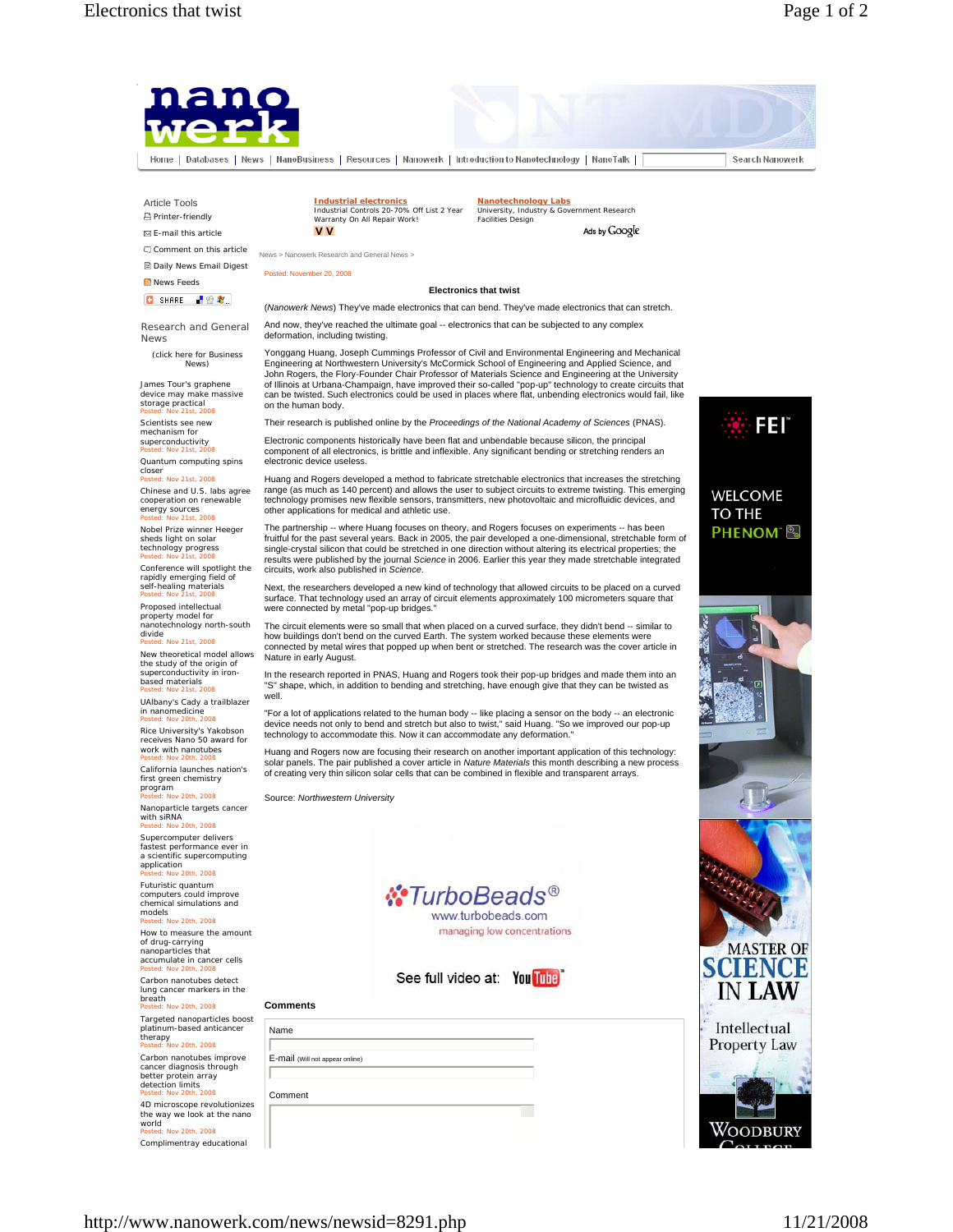